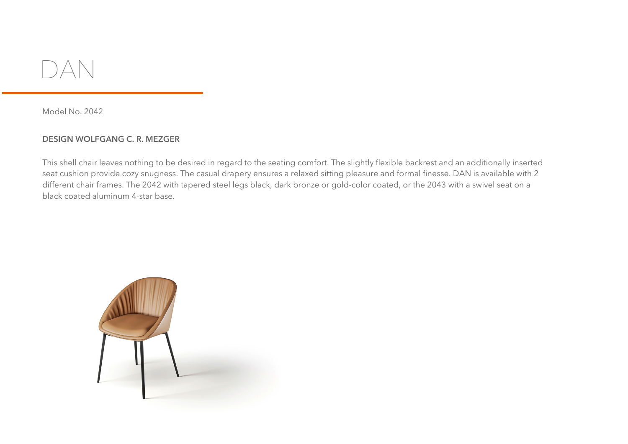

Model No. 2042

## **DESIGN WOLFGANG C. R. MEZGER**

This shell chair leaves nothing to be desired in regard to the seating comfort. The slightly flexible backrest and an additionally inserted seat cushion provide cozy snugness. The casual drapery ensures a relaxed sitting pleasure and formal finesse. DAN is available with 2 different chair frames. The 2042 with tapered steel legs black, dark bronze or gold-color coated, or the 2043 with a swivel seat on a black coated aluminum 4-star base.